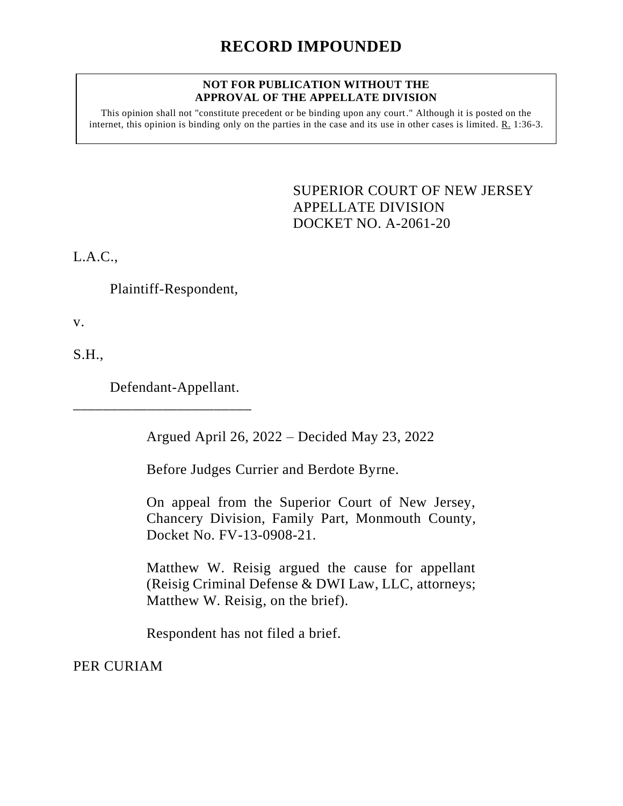## **RECORD IMPOUNDED**

## **NOT FOR PUBLICATION WITHOUT THE APPROVAL OF THE APPELLATE DIVISION**

This opinion shall not "constitute precedent or be binding upon any court." Although it is posted on the internet, this opinion is binding only on the parties in the case and its use in other cases is limited. R. 1:36-3.

> <span id="page-0-0"></span>SUPERIOR COURT OF NEW JERSEY APPELLATE DIVISION DOCKET NO. A-2061-20

L.A.C.,

Plaintiff-Respondent,

v.

S.H.,

Defendant-Appellant.

\_\_\_\_\_\_\_\_\_\_\_\_\_\_\_\_\_\_\_\_\_\_\_\_

Argued April 26, 2022 – Decided May 23, 2022

Before Judges Currier and Berdote Byrne.

On appeal from the Superior Court of New Jersey, Chancery Division, Family Part, Monmouth County, Docket No. FV-13-0908-21.

Matthew W. Reisig argued the cause for appellant (Reisig Criminal Defense & DWI Law, LLC, attorneys; Matthew W. Reisig, on the brief).

Respondent has not filed a brief.

PER CURIAM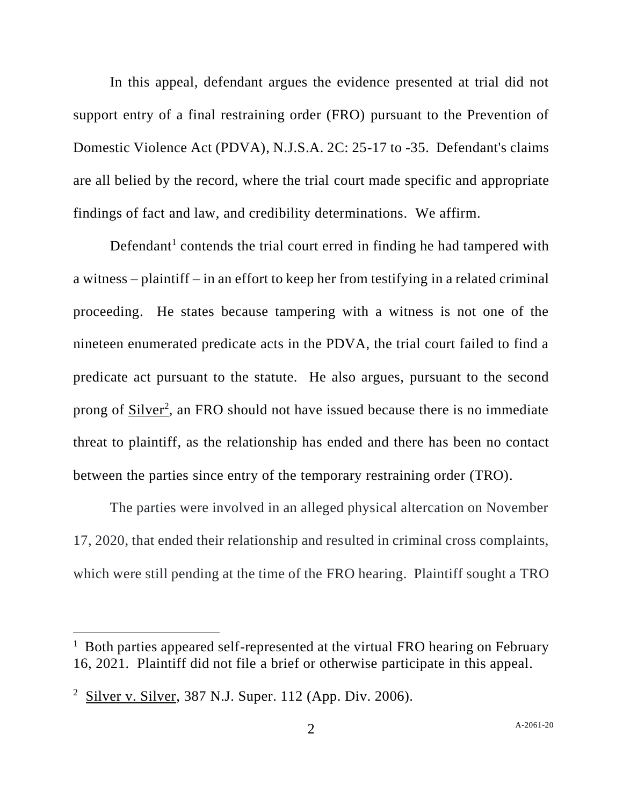In this appeal, defendant argues the evidence presented at trial did not support entry of a final restraining order (FRO) pursuant to the Prevention of Domestic Violence Act (PDVA), N.J.S.A. 2C: 25-17 to -35. Defendant's claims are all belied by the record, where the trial court made specific and appropriate findings of fact and law, and credibility determinations. We affirm.

Defendant<sup>1</sup> contends the trial court erred in finding he had tampered with a witness – plaintiff – in an effort to keep her from testifying in a related criminal proceeding. He states because tampering with a witness is not one of the nineteen enumerated predicate acts in the PDVA, the trial court failed to find a predicate act pursuant to the statute. He also argues, pursuant to the second prong of Silver<sup>2</sup>, an FRO should not have issued because there is no immediate threat to plaintiff, as the relationship has ended and there has been no contact between the parties since entry of the temporary restraining order (TRO).

The parties were involved in an alleged physical altercation on November 17, 2020, that ended their relationship and resulted in criminal cross complaints, which were still pending at the time of the FRO hearing. Plaintiff sought a TRO

<sup>&</sup>lt;sup>1</sup> Both parties appeared self-represented at the virtual FRO hearing on February 16, 2021. Plaintiff did not file a brief or otherwise participate in this appeal.

<sup>&</sup>lt;sup>2</sup> Silver v. Silver, 387 N.J. Super. 112 (App. Div. 2006).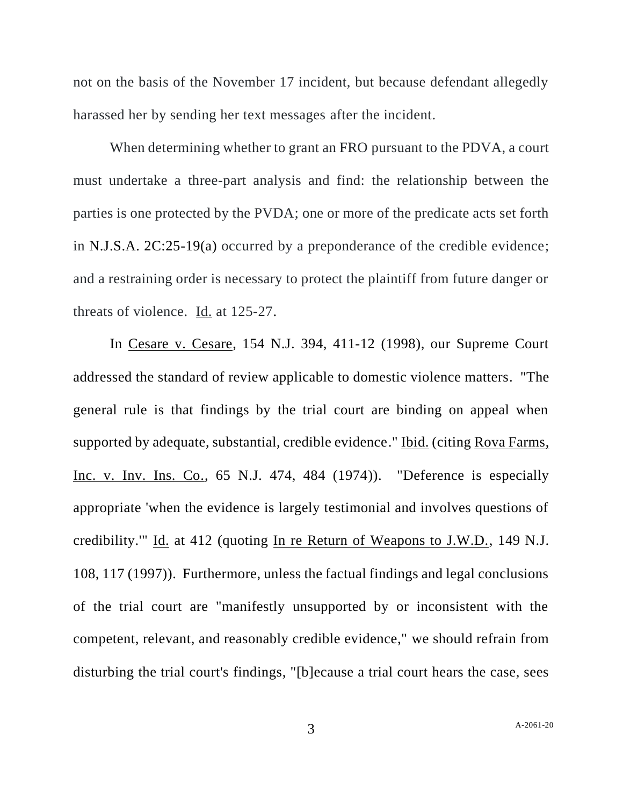not on the basis of the November 17 incident, but because defendant allegedly harassed her by sending her text messages after the incident.

When determining whether to grant an FRO pursuant to the PDVA, a court must undertake a three-part analysis and find: the relationship between the parties is one protected by the PVDA; one or more of the predicate acts set forth in N.J.S.A. 2C:25-19(a) occurred by a preponderance of the credible evidence; and a restraining order is necessary to protect the plaintiff from future danger or threats of violence. Id. at 125-27.

In Cesare v. Cesare, 154 N.J. 394, 411-12 (1998), our Supreme Court addressed the standard of review applicable to domestic violence matters. "The general rule is that findings by the trial court are binding on appeal when supported by adequate, substantial, credible evidence." Ibid. (citing Rova Farms, Inc. v. Inv. Ins. Co., 65 N.J. 474, 484 (1974)). "Deference is especially appropriate 'when the evidence is largely testimonial and involves questions of credibility.'" Id. at 412 (quoting In re Return of Weapons to J.W.D., 149 N.J. 108, 117 (1997)). Furthermore, unless the factual findings and legal conclusions of the trial court are "manifestly unsupported by or inconsistent with the competent, relevant, and reasonably credible evidence," we should refrain from disturbing the trial court's findings, "[b]ecause a trial court hears the case, sees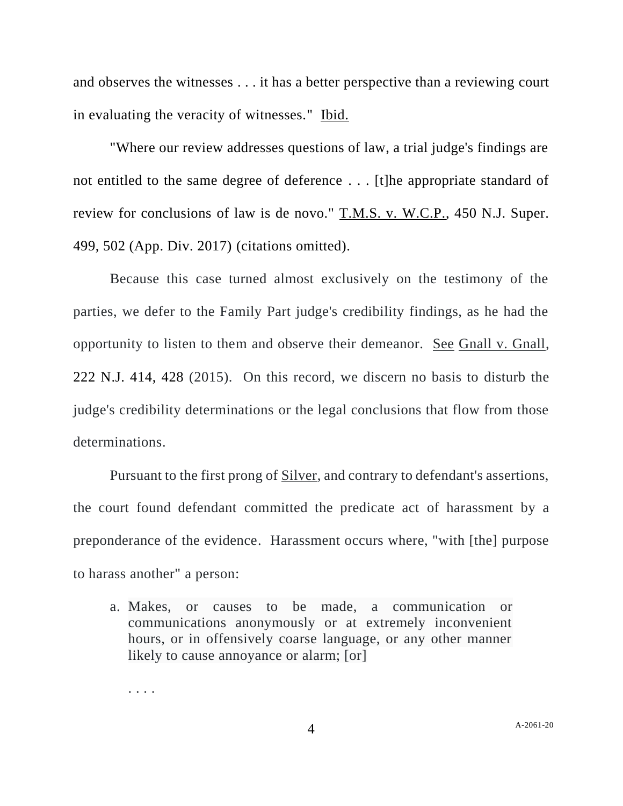and observes the witnesses . . . it has a better perspective than a reviewing court in evaluating the veracity of witnesses." Ibid.

"Where our review addresses questions of law, a trial judge's findings are not entitled to the same degree of deference . . . [t]he appropriate standard of review for conclusions of law is de novo." T.M.S. v. W.C.P., 450 N.J. Super. 499, 502 (App. Div. 2017) (citations omitted).

Because this case turned almost exclusively on the testimony of the parties, we defer to the Family Part judge's credibility findings, as he had the opportunity to listen to them and observe their demeanor. See Gnall v. Gnall, 222 N.J. 414, 428 (2015). On this record, we discern no basis to disturb the judge's credibility determinations or the legal conclusions that flow from those determinations.

Pursuant to the first prong of Silver, and contrary to defendant's assertions, the court found defendant committed the predicate act of harassment by a preponderance of the evidence. Harassment occurs where, "with [the] purpose to harass another" a person:

a. Makes, or causes to be made, a communication or communications anonymously or at extremely inconvenient hours, or in offensively coarse language, or any other manner likely to cause annoyance or alarm; [or]

. . . .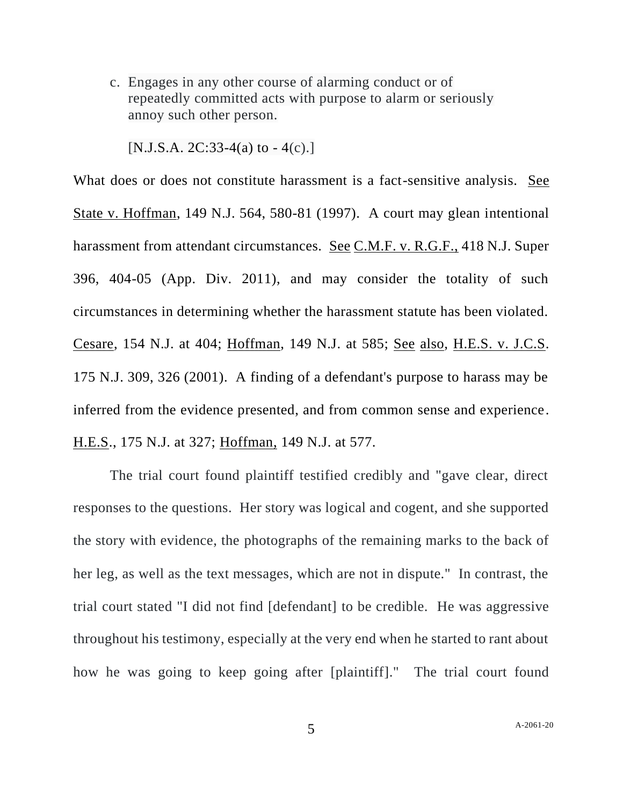c. Engages in any other course of alarming conduct or of repeatedly committed acts with purpose to alarm or seriously annoy such other person.

 $[N.J.S.A. 2C:33-4(a)$  to  $-4(c).]$ 

What does or does not constitute harassment is a fact-sensitive analysis. See State v. Hoffman, 149 N.J. 564, 580-81 (1997). A court may glean intentional harassment from attendant circumstances. See C.M.F. v. R.G.F., 418 N.J. Super 396, 404-05 (App. Div. 2011), and may consider the totality of such circumstances in determining whether the harassment statute has been violated. Cesare, 154 N.J. at 404; Hoffman, 149 N.J. at 585; See also, H.E.S. v. J.C.S. 175 N.J. 309, 326 (2001). A finding of a defendant's purpose to harass may be inferred from the evidence presented, and from common sense and experience. H.E.S., 175 N.J. at 327; Hoffman, 149 N.J. at 577.

The trial court found plaintiff testified credibly and "gave clear, direct responses to the questions. Her story was logical and cogent, and she supported the story with evidence, the photographs of the remaining marks to the back of her leg, as well as the text messages, which are not in dispute." In contrast, the trial court stated "I did not find [defendant] to be credible. He was aggressive throughout his testimony, especially at the very end when he started to rant about how he was going to keep going after [plaintiff]." The trial court found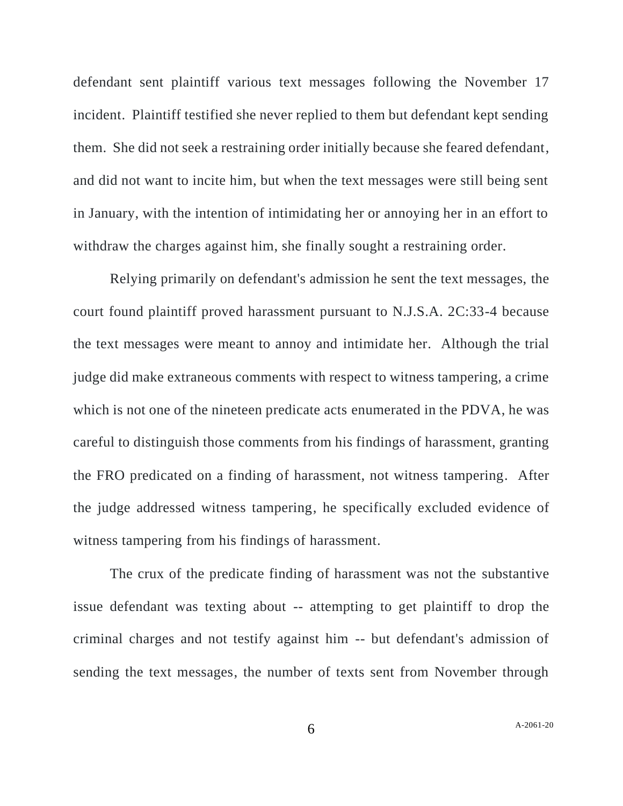defendant sent plaintiff various text messages following the November 17 incident. Plaintiff testified she never replied to them but defendant kept sending them. She did not seek a restraining order initially because she feared defendant, and did not want to incite him, but when the text messages were still being sent in January, with the intention of intimidating her or annoying her in an effort to withdraw the charges against him, she finally sought a restraining order.

Relying primarily on defendant's admission he sent the text messages, the court found plaintiff proved harassment pursuant to N.J.S.A. 2C:33-4 because the text messages were meant to annoy and intimidate her. Although the trial judge did make extraneous comments with respect to witness tampering, a crime which is not one of the nineteen predicate acts enumerated in the PDVA, he was careful to distinguish those comments from his findings of harassment, granting the FRO predicated on a finding of harassment, not witness tampering. After the judge addressed witness tampering, he specifically excluded evidence of witness tampering from his findings of harassment.

The crux of the predicate finding of harassment was not the substantive issue defendant was texting about -- attempting to get plaintiff to drop the criminal charges and not testify against him -- but defendant's admission of sending the text messages, the number of texts sent from November through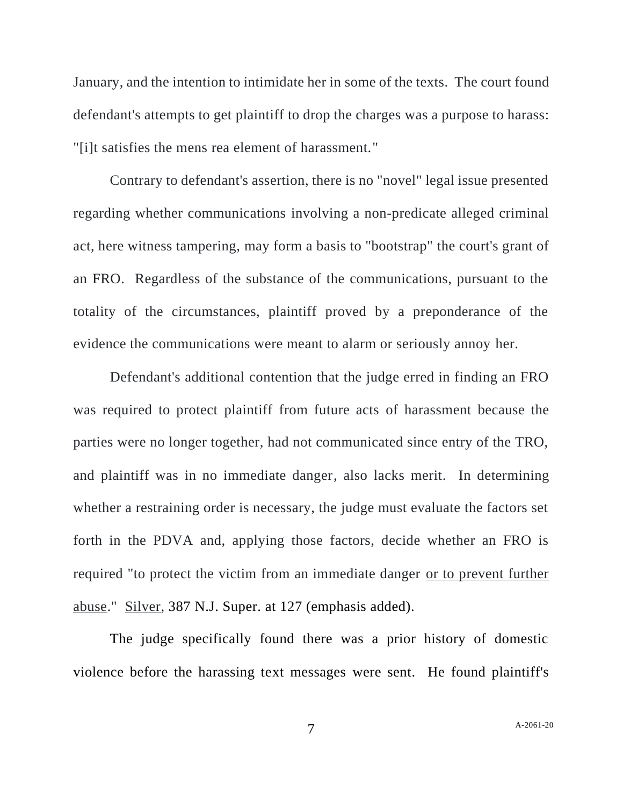January, and the intention to intimidate her in some of the texts. The court found defendant's attempts to get plaintiff to drop the charges was a purpose to harass: "[i]t satisfies the mens rea element of harassment."

Contrary to defendant's assertion, there is no "novel" legal issue presented regarding whether communications involving a non-predicate alleged criminal act, here witness tampering, may form a basis to "bootstrap" the court's grant of an FRO. Regardless of the substance of the communications, pursuant to the totality of the circumstances, plaintiff proved by a preponderance of the evidence the communications were meant to alarm or seriously annoy her.

Defendant's additional contention that the judge erred in finding an FRO was required to protect plaintiff from future acts of harassment because the parties were no longer together, had not communicated since entry of the TRO, and plaintiff was in no immediate danger, also lacks merit. In determining whether a restraining order is necessary, the judge must evaluate the factors set forth in the PDVA and, applying those factors, decide whether an FRO is required "to protect the victim from an immediate danger or to prevent further abuse." Silver, 387 N.J. Super. at 127 (emphasis added).

The judge specifically found there was a prior history of domestic violence before the harassing text messages were sent. He found plaintiff's

7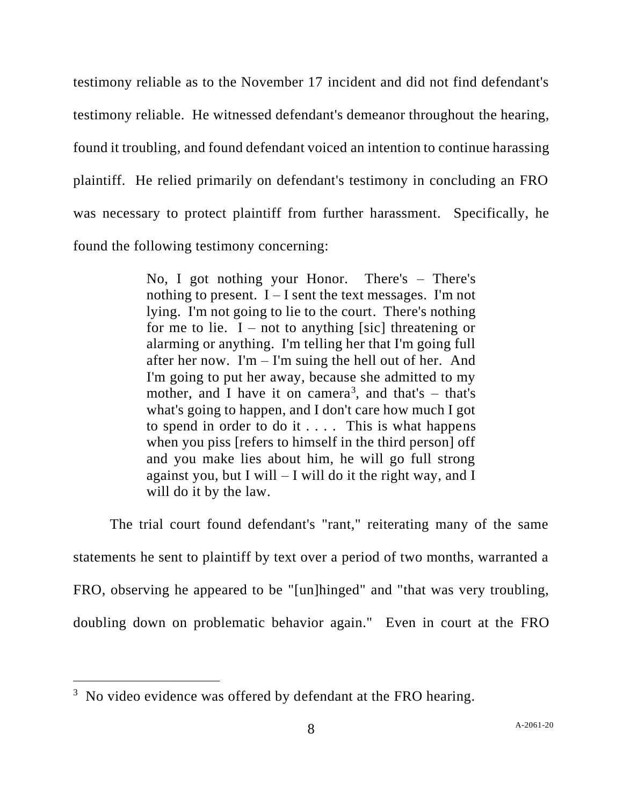testimony reliable as to the November 17 incident and did not find defendant's testimony reliable. He witnessed defendant's demeanor throughout the hearing, found it troubling, and found defendant voiced an intention to continue harassing plaintiff. He relied primarily on defendant's testimony in concluding an FRO was necessary to protect plaintiff from further harassment. Specifically, he found the following testimony concerning:

> No, I got nothing your Honor. There's – There's nothing to present.  $I - I$  sent the text messages. I'm not lying. I'm not going to lie to the court. There's nothing for me to lie.  $I$  – not to anything [sic] threatening or alarming or anything. I'm telling her that I'm going full after her now. I'm – I'm suing the hell out of her. And I'm going to put her away, because she admitted to my mother, and I have it on camera<sup>3</sup>, and that's  $-$  that's what's going to happen, and I don't care how much I got to spend in order to do it  $\dots$ . This is what happens when you piss [refers to himself in the third person] off and you make lies about him, he will go full strong against you, but I will  $-$  I will do it the right way, and I will do it by the law.

The trial court found defendant's "rant," reiterating many of the same statements he sent to plaintiff by text over a period of two months, warranted a FRO, observing he appeared to be "[un]hinged" and "that was very troubling, doubling down on problematic behavior again." Even in court at the FRO

<sup>&</sup>lt;sup>3</sup> No video evidence was offered by defendant at the FRO hearing.